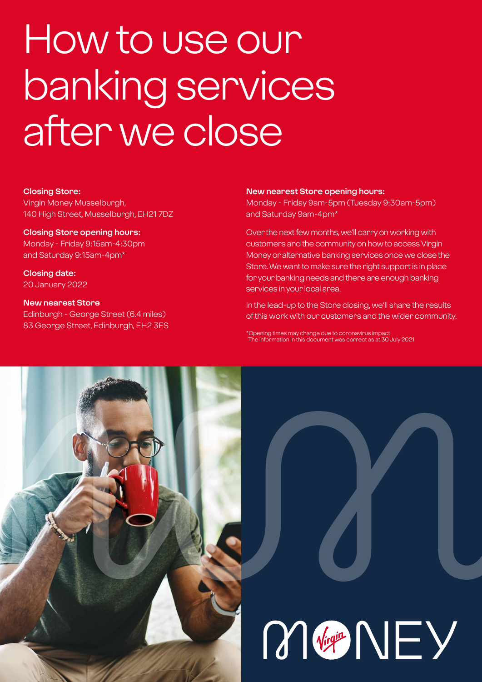# How to use our banking services after we close

#### **Closing Store:**

Virgin Money Musselburgh, 140 High Street, Musselburgh, EH21 7DZ

#### **Closing Store opening hours:**

Monday - Friday 9:15am-4:30pm and Saturday 9:15am-4pm\*

**Closing date:**  20 January 2022

### **New nearest Store**

Edinburgh - George Street (6.4 miles) 83 George Street, Edinburgh, EH2 3ES

#### **New nearest Store opening hours:**

Monday - Friday 9am-5pm (Tuesday 9:30am-5pm) and Saturday 9am-4pm\*

Over the next few months, we'll carry on working with customers and the community on how to access Virgin Money or alternative banking services once we close the Store. We want to make sure the right support is in place for your banking needs and there are enough banking services in your local area.

In the lead-up to the Store closing, we'll share the results of this work with our customers and the wider community.

\*Opening times may change due to coronavirus impact The information in this document was correct as at 30 July 2021

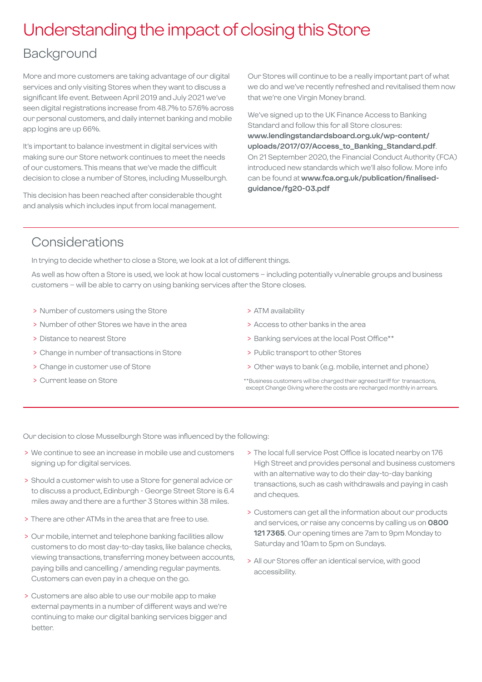### Understanding the impact of closing this Store

### Background

More and more customers are taking advantage of our digital services and only visiting Stores when they want to discuss a significant life event. Between April 2019 and July 2021 we've seen digital registrations increase from 48.7% to 57.6% across our personal customers, and daily internet banking and mobile app logins are up 66%.

It's important to balance investment in digital services with making sure our Store network continues to meet the needs of our customers. This means that we've made the difficult decision to close a number of Stores, including Musselburgh.

This decision has been reached after considerable thought and analysis which includes input from local management.

Our Stores will continue to be a really important part of what we do and we've recently refreshed and revitalised them now that we're one Virgin Money brand.

We've signed up to the UK Finance Access to Banking Standard and follow this for all Store closures: **[www.lendingstandardsboard.org.uk/wp-content/](http://www.lendingstandardsboard.org.uk/wp-content/uploads/2017/07/Access_to_Banking_Standard.pdf) [uploads/2017/07/Access\\_to\\_Banking\\_Standard.pdf](http://www.lendingstandardsboard.org.uk/wp-content/uploads/2017/07/Access_to_Banking_Standard.pdf)**. On 21 September 2020, the Financial Conduct Authority (FCA) introduced new standards which we'll also follow. More info can be found at **[www.fca.org.uk/publication/finalised](http://www.fca.org.uk/publication/finalised-guidance/fg20-03.pdf)[guidance/fg20-03.pdf](http://www.fca.org.uk/publication/finalised-guidance/fg20-03.pdf)**

### Considerations

In trying to decide whether to close a Store, we look at a lot of different things.

As well as how often a Store is used, we look at how local customers – including potentially vulnerable groups and business customers – will be able to carry on using banking services after the Store closes.

- > Number of customers using the Store
- > Number of other Stores we have in the area
- > Distance to nearest Store
- > Change in number of transactions in Store
- > Change in customer use of Store
- > Current lease on Store
- > ATM availability
- > Access to other banks in the area
- > Banking services at the local Post Office\*\*
- > Public transport to other Stores
- > Other ways to bank (e.g. mobile, internet and phone)
- \*\*Business customers will be charged their agreed tariff for transactions, except Change Giving where the costs are recharged monthly in arrears.

Our decision to close Musselburgh Store was influenced by the following:

- > We continue to see an increase in mobile use and customers signing up for digital services.
- > Should a customer wish to use a Store for general advice or to discuss a product, Edinburgh - George Street Store is 6.4 miles away and there are a further 3 Stores within 38 miles.
- > There are other ATMs in the area that are free to use.
- > Our mobile, internet and telephone banking facilities allow customers to do most day-to-day tasks, like balance checks, viewing transactions, transferring money between accounts, paying bills and cancelling / amending regular payments. Customers can even pay in a cheque on the go.
- > Customers are also able to use our mobile app to make external payments in a number of different ways and we're continuing to make our digital banking services bigger and better.
- > The local full service Post Office is located nearby on 176 High Street and provides personal and business customers with an alternative way to do their day-to-day banking transactions, such as cash withdrawals and paying in cash and cheques.
- > Customers can get all the information about our products and services, or raise any concerns by calling us on **0800 121 7365**. Our opening times are 7am to 9pm Monday to Saturday and 10am to 5pm on Sundays.
- > All our Stores offer an identical service, with good accessibility.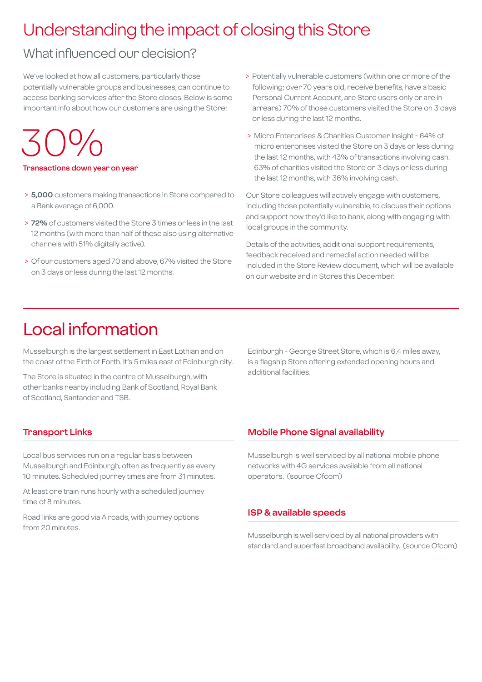# Understanding the impact of closing this Store

### What influenced our decision?

We've looked at how all customers, particularly those potentially vulnerable groups and businesses, can continue to access banking services after the Store closes. Below is some important info about how our customers are using the Store:

30%

**Transactions down year on year**

- > **5,000** customers making transactions in Store compared to a Bank average of 6,000.
- > **72%** of customers visited the Store 3 times or less in the last 12 months (with more than half of these also using alternative channels with 51% digitally active).
- > Of our customers aged 70 and above, 67% visited the Store on 3 days or less during the last 12 months.
- > Potentially vulnerable customers (within one or more of the following; over 70 years old, receive benefits, have a basic Personal Current Account, are Store users only or are in arrears) 70% of those customers visited the Store on 3 days or less during the last 12 months.
- > Micro Enterprises & Charities Customer Insight 64% of micro enterprises visited the Store on 3 days or less during the last 12 months, with 43% of transactions involving cash. 63% of charities visited the Store on 3 days or less during the last 12 months, with 36% involving cash.

Our Store colleagues will actively engage with customers, including those potentially vulnerable, to discuss their options and support how they'd like to bank, along with engaging with local groups in the community.

Details of the activities, additional support requirements, feedback received and remedial action needed will be included in the Store Review document, which will be available on our website and in Stores this December.

### Local information

Musselburgh is the largest settlement in East Lothian and on the coast of the Firth of Forth. It's 5 miles east of Edinburgh city.

The Store is situated in the centre of Musselburgh, with other banks nearby including Bank of Scotland, Royal Bank of Scotland, Santander and TSB.

Edinburgh - George Street Store, which is 6.4 miles away, is a flagship Store offering extended opening hours and additional facilities.

### **Transport Links**

Local bus services run on a regular basis between Musselburgh and Edinburgh, often as frequently as every 10 minutes. Scheduled journey times are from 31 minutes.

At least one train runs hourly with a scheduled journey time of 8 minutes.

Road links are good via A roads, with journey options from 20 minutes.

#### **Mobile Phone Signal availability**

Musselburgh is well serviced by all national mobile phone networks with 4G services available from all national operators. (source Ofcom)

#### **ISP & available speeds**

Musselburgh is well serviced by all national providers with standard and superfast broadband availability. (source Ofcom)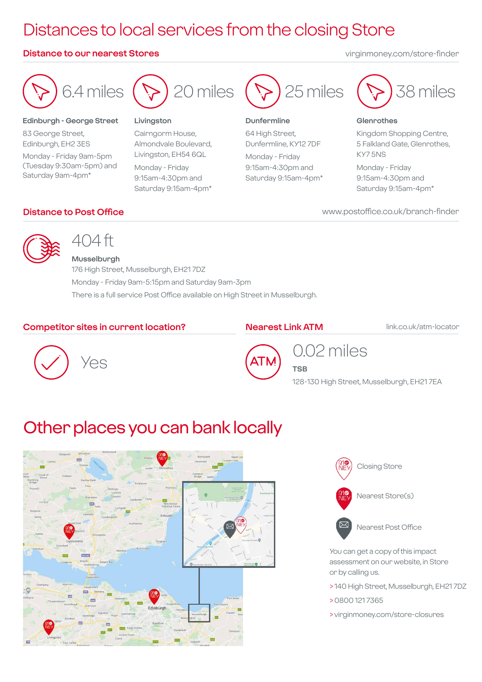# Distances to local services from the closing Store

#### **Distance to our nearest Stores** virginmoney.com/store-finder



#### **Edinburgh - George Street**

83 George Street, Edinburgh, EH2 3ES Monday - Friday 9am-5pm (Tuesday 9:30am-5pm) and Saturday 9am-4pm\*



#### **Livingston**

Cairngorm House, Almondvale Boulevard, Livingston, EH54 6QL

Monday - Friday 9:15am-4:30pm and Saturday 9:15am-4pm\*



#### **Dunfermline**

64 High Street, Dunfermline, KY12 7DF Monday - Friday

9:15am-4:30pm and Saturday 9:15am-4pm\*



#### **Glenrothes**

Kingdom Shopping Centre, 5 Falkland Gate, Glenrothes, KY7 5NS

Monday - Friday 9:15am-4:30pm and Saturday 9:15am-4pm\*

**Distance to Post Office** www.postoffice.co.uk/branch-finder



### 404 ft

**Musselburgh** 176 High Street, Musselburgh, EH21 7DZ Monday - Friday 9am-5:15pm and Saturday 9am-3pm There is a full service Post Office available on High Street in Musselburgh.

#### **Competitor sites in current location?**

#### **Nearest Link ATM**

**TSB**

link.co.uk/atm-locator





### 0.02 miles

128-130 High Street, Musselburgh, EH21 7EA

### Other places you can bank locally





You can get a copy of this impact assessment on our website, in Store or by calling us.

- > 140 High Street, Musselburgh, EH21 7DZ
- > 0800 121 7365
- > virginmoney.com/store-closures